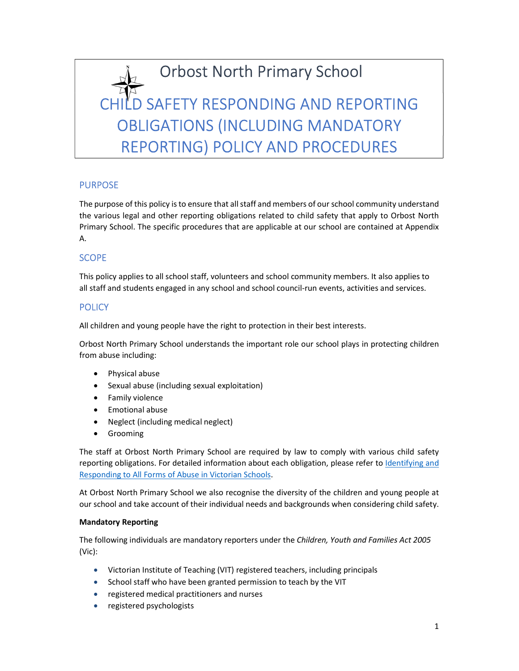# Orbost North Primary School<br>CHILD SAFETY RESPONDING AND REPORTING OBLIGATIONS (INCLUDING MANDATORY REPORTING) POLICY AND PROCEDURES

# **PURPOSE**

The purpose of this policy is to ensure that all staff and members of our school community understand the various legal and other reporting obligations related to child safety that apply to Orbost North Primary School. The specific procedures that are applicable at our school are contained at Appendix A.

# **SCOPE**

This policy applies to all school staff, volunteers and school community members. It also applies to all staff and students engaged in any school and school council-run events, activities and services.

# **POLICY**

All children and young people have the right to protection in their best interests.

Orbost North Primary School understands the important role our school plays in protecting children from abuse including:

- Physical abuse
- Sexual abuse (including sexual exploitation)
- Family violence
- **•** Emotional abuse
- Neglect (including medical neglect)
- **•** Grooming

The staff at Orbost North Primary School are required by law to comply with various child safety reporting obligations. For detailed information about each obligation, please refer to Identifying and

Responding to All Forms of Abuse in Victorian Schools.<br>At Orbost North Primary School we also recognise the diversity of the children and young people at our school and take account of their individual needs and backgrounds when considering child safety.

# Mandatory Reporting

The following individuals are mandatory reporters under the Children, Youth and Families Act 2005 (Vic):

- Victorian Institute of Teaching (VIT) registered teachers, including principals
- School staff who have been granted permission to teach by the VIT
- registered medical practitioners and nurses
- registered psychologists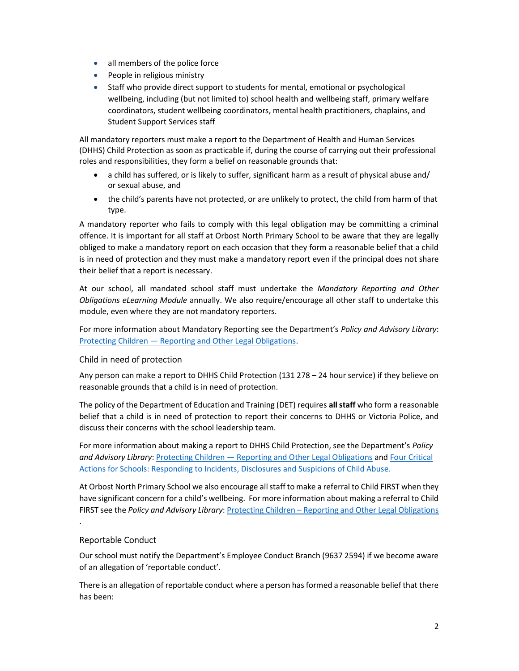- all members of the police force
- People in religious ministry
- Staff who provide direct support to students for mental, emotional or psychological wellbeing, including (but not limited to) school health and wellbeing staff, primary welfare coordinators, student wellbeing coordinators, mental health practitioners, chaplains, and Student Support Services staff

All mandatory reporters must make a report to the Department of Health and Human Services (DHHS) Child Protection as soon as practicable if, during the course of carrying out their professional roles and responsibilities, they form a belief on reasonable grounds that:

- a child has suffered, or is likely to suffer, significant harm as a result of physical abuse and/ or sexual abuse, and
- the child's parents have not protected, or are unlikely to protect, the child from harm of that type.

A mandatory reporter who fails to comply with this legal obligation may be committing a criminal offence. It is important for all staff at Orbost North Primary School to be aware that they are legally obliged to make a mandatory report on each occasion that they form a reasonable belief that a child is in need of protection and they must make a mandatory report even if the principal does not share their belief that a report is necessary.

At our school, all mandated school staff must undertake the Mandatory Reporting and Other Obligations eLearning Module annually. We also require/encourage all other staff to undertake this module, even where they are not mandatory reporters.

For more information about Mandatory Reporting see the Department's Policy and Advisory Library: Protecting Children — Reporting and Other Legal Obligations.

# Child in need of protection

Any person can make a report to DHHS Child Protection (131 278 – 24 hour service) if they believe on reasonable grounds that a child is in need of protection.

The policy of the Department of Education and Training (DET) requires all staff who form a reasonable belief that a child is in need of protection to report their concerns to DHHS or Victoria Police, and discuss their concerns with the school leadership team.

For more information about making a report to DHHS Child Protection, see the Department's Policy and Advisory Library: Protecting Children — Reporting and Other Legal Obligations and Four Critical Actions for Schools: Responding to Incidents, Disclosures and Suspicions of Child Abuse.

At Orbost North Primary School we also encourage all staff to make a referral to Child FIRST when they have significant concern for a child's wellbeing. For more information about making a referral to Child FIRST see the Policy and Advisory Library: Protecting Children – Reporting and Other Legal Obligations

# Reportable Conduct

.

Our school must notify the Department's Employee Conduct Branch (9637 2594) if we become aware of an allegation of 'reportable conduct'.

There is an allegation of reportable conduct where a person has formed a reasonable belief that there has been: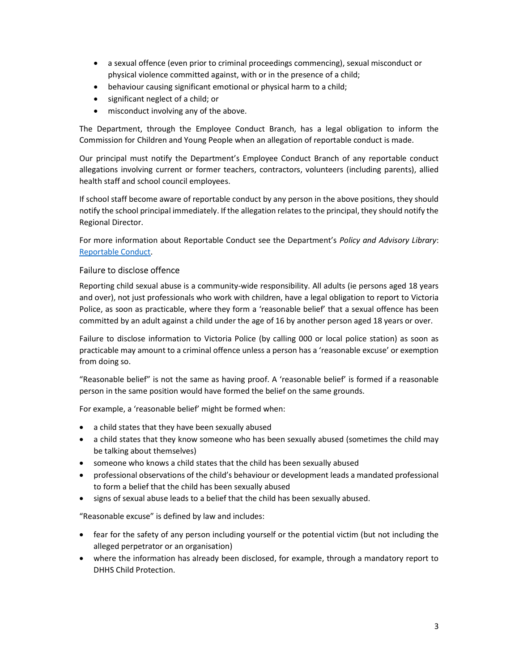- a sexual offence (even prior to criminal proceedings commencing), sexual misconduct or physical violence committed against, with or in the presence of a child;
- behaviour causing significant emotional or physical harm to a child;
- significant neglect of a child; or
- misconduct involving any of the above.

The Department, through the Employee Conduct Branch, has a legal obligation to inform the Commission for Children and Young People when an allegation of reportable conduct is made.

Our principal must notify the Department's Employee Conduct Branch of any reportable conduct allegations involving current or former teachers, contractors, volunteers (including parents), allied health staff and school council employees.

If school staff become aware of reportable conduct by any person in the above positions, they should notify the school principal immediately. If the allegation relates to the principal, they should notify the Regional Director.

For more information about Reportable Conduct see the Department's Policy and Advisory Library: Reportable Conduct.

# Failure to disclose offence

Reporting child sexual abuse is a community-wide responsibility. All adults (ie persons aged 18 years and over), not just professionals who work with children, have a legal obligation to report to Victoria Police, as soon as practicable, where they form a 'reasonable belief' that a sexual offence has been committed by an adult against a child under the age of 16 by another person aged 18 years or over.

Failure to disclose information to Victoria Police (by calling 000 or local police station) as soon as practicable may amount to a criminal offence unless a person has a 'reasonable excuse' or exemption from doing so.

"Reasonable belief" is not the same as having proof. A 'reasonable belief' is formed if a reasonable person in the same position would have formed the belief on the same grounds.

For example, a 'reasonable belief' might be formed when:

- a child states that they have been sexually abused
- a child states that they know someone who has been sexually abused (sometimes the child may be talking about themselves)
- someone who knows a child states that the child has been sexually abused
- professional observations of the child's behaviour or development leads a mandated professional to form a belief that the child has been sexually abused
- signs of sexual abuse leads to a belief that the child has been sexually abused.

"Reasonable excuse" is defined by law and includes:

- fear for the safety of any person including yourself or the potential victim (but not including the alleged perpetrator or an organisation)
- where the information has already been disclosed, for example, through a mandatory report to DHHS Child Protection.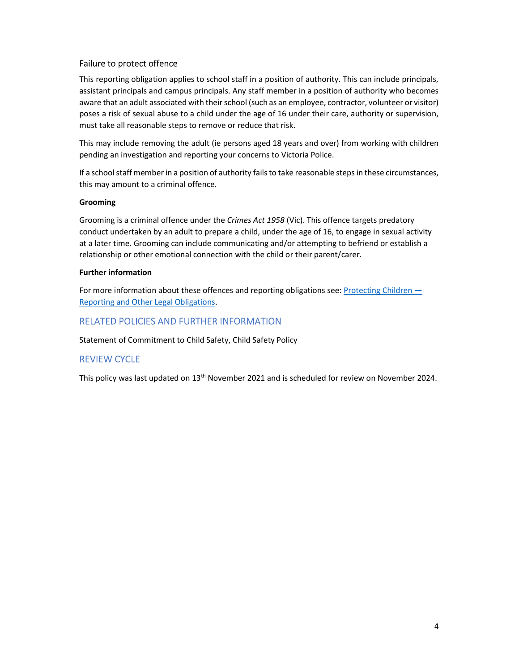# Failure to protect offence

This reporting obligation applies to school staff in a position of authority. This can include principals, assistant principals and campus principals. Any staff member in a position of authority who becomes aware that an adult associated with their school (such as an employee, contractor, volunteer or visitor) poses a risk of sexual abuse to a child under the age of 16 under their care, authority or supervision, must take all reasonable steps to remove or reduce that risk.

This may include removing the adult (ie persons aged 18 years and over) from working with children pending an investigation and reporting your concerns to Victoria Police.

If a school staff member in a position of authority fails to take reasonable steps in these circumstances, this may amount to a criminal offence.

## Grooming

Grooming is a criminal offence under the Crimes Act 1958 (Vic). This offence targets predatory conduct undertaken by an adult to prepare a child, under the age of 16, to engage in sexual activity at a later time. Grooming can include communicating and/or attempting to befriend or establish a relationship or other emotional connection with the child or their parent/carer.

## Further information

For more information about these offences and reporting obligations see: Protecting Children — Reporting and Other Legal Obligations.

# RELATED POLICIES AND FURTHER INFORMATION

Statement of Commitment to Child Safety, Child Safety Policy

# REVIEW CYCLE

This policy was last updated on 13<sup>th</sup> November 2021 and is scheduled for review on November 2024.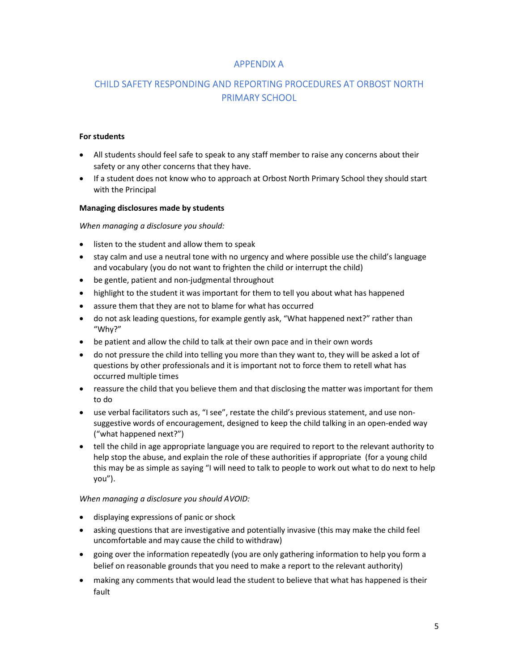# APPENDIX A

# CHILD SAFETY RESPONDING AND REPORTING PROCEDURES AT ORBOST NORTH PRIMARY SCHOOL

#### For students

- All students should feel safe to speak to any staff member to raise any concerns about their safety or any other concerns that they have.
- If a student does not know who to approach at Orbost North Primary School they should start with the Principal

#### Managing disclosures made by students

When managing a disclosure you should:

- listen to the student and allow them to speak
- stay calm and use a neutral tone with no urgency and where possible use the child's language and vocabulary (you do not want to frighten the child or interrupt the child)
- be gentle, patient and non-judgmental throughout
- highlight to the student it was important for them to tell you about what has happened
- assure them that they are not to blame for what has occurred
- do not ask leading questions, for example gently ask, "What happened next?" rather than "Why?"
- be patient and allow the child to talk at their own pace and in their own words
- do not pressure the child into telling you more than they want to, they will be asked a lot of questions by other professionals and it is important not to force them to retell what has occurred multiple times
- reassure the child that you believe them and that disclosing the matter was important for them to do
- use verbal facilitators such as, "I see", restate the child's previous statement, and use nonsuggestive words of encouragement, designed to keep the child talking in an open-ended way ("what happened next?")
- tell the child in age appropriate language you are required to report to the relevant authority to help stop the abuse, and explain the role of these authorities if appropriate (for a young child this may be as simple as saying "I will need to talk to people to work out what to do next to help you").

#### When managing a disclosure you should AVOID:

- displaying expressions of panic or shock
- asking questions that are investigative and potentially invasive (this may make the child feel uncomfortable and may cause the child to withdraw)
- going over the information repeatedly (you are only gathering information to help you form a belief on reasonable grounds that you need to make a report to the relevant authority)
- making any comments that would lead the student to believe that what has happened is their fault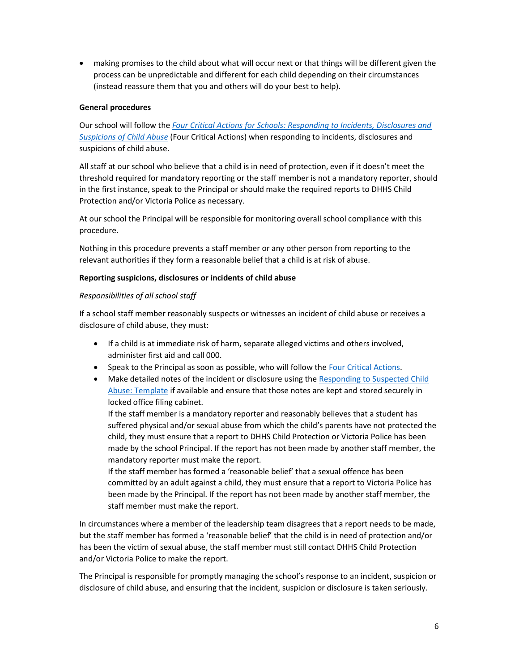making promises to the child about what will occur next or that things will be different given the process can be unpredictable and different for each child depending on their circumstances (instead reassure them that you and others will do your best to help).

#### General procedures

Our school will follow the Four Critical Actions for Schools: Responding to Incidents, Disclosures and Suspicions of Child Abuse (Four Critical Actions) when responding to incidents, disclosures and suspicions of child abuse.

All staff at our school who believe that a child is in need of protection, even if it doesn't meet the threshold required for mandatory reporting or the staff member is not a mandatory reporter, should in the first instance, speak to the Principal or should make the required reports to DHHS Child Protection and/or Victoria Police as necessary.

At our school the Principal will be responsible for monitoring overall school compliance with this procedure.

Nothing in this procedure prevents a staff member or any other person from reporting to the relevant authorities if they form a reasonable belief that a child is at risk of abuse.

#### Reporting suspicions, disclosures or incidents of child abuse

#### Responsibilities of all school staff

If a school staff member reasonably suspects or witnesses an incident of child abuse or receives a disclosure of child abuse, they must:

- If a child is at immediate risk of harm, separate alleged victims and others involved, administer first aid and call 000.
- Speak to the Principal as soon as possible, who will follow the Four Critical Actions.
- Make detailed notes of the incident or disclosure using the Responding to Suspected Child Abuse: Template if available and ensure that those notes are kept and stored securely in locked office filing cabinet.

If the staff member is a mandatory reporter and reasonably believes that a student has suffered physical and/or sexual abuse from which the child's parents have not protected the child, they must ensure that a report to DHHS Child Protection or Victoria Police has been made by the school Principal. If the report has not been made by another staff member, the mandatory reporter must make the report.

If the staff member has formed a 'reasonable belief' that a sexual offence has been committed by an adult against a child, they must ensure that a report to Victoria Police has been made by the Principal. If the report has not been made by another staff member, the staff member must make the report.

In circumstances where a member of the leadership team disagrees that a report needs to be made, but the staff member has formed a 'reasonable belief' that the child is in need of protection and/or has been the victim of sexual abuse, the staff member must still contact DHHS Child Protection and/or Victoria Police to make the report.

The Principal is responsible for promptly managing the school's response to an incident, suspicion or disclosure of child abuse, and ensuring that the incident, suspicion or disclosure is taken seriously.